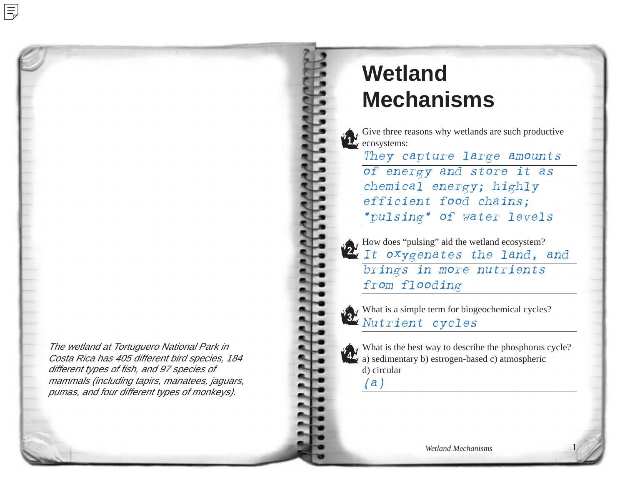The wetland at Tortuguero National Park in Costa Rica has 405 different bird species, 184 different types of fish, and 97 species of mammals (including tapirs, manatees, jaguars, pumas, and four different types of monkeys).

 $\equiv$ 

## **Wetland Mechanism**

Give three reasons why wetland 1<sup>2</sup> ecosystems:

| They capture lar |  |  |  |  |  |  |  |
|------------------|--|--|--|--|--|--|--|
| of energy and st |  |  |  |  |  |  |  |
| chemical energy; |  |  |  |  |  |  |  |
| efficient food c |  |  |  |  |  |  |  |
| "pulsing" of wat |  |  |  |  |  |  |  |

 $\rightarrow$  How does "pulsing" aid the wet  $2\mathbf{I}$  It oxygenates the  $\mathbf{I}$ brings in more n from flooding





What is the best way to describe **4** (a) sedimentary b) estrogen-base d) circular

(a)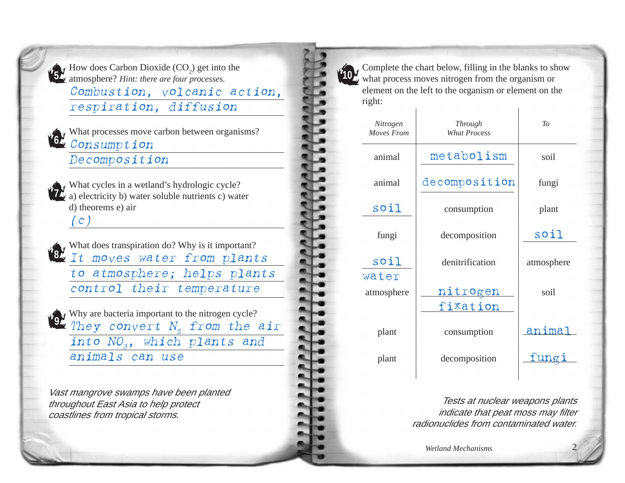How does Carbon Dioxide  $(CO_2)$  get into the **5**<sup>*z*</sup> atmosphere? *Hint: there are four processes.* Combustion, volcanic action, respiration, diffusion

 $\mathbb{N}$  What processes move carbon between organisms? Consumption **6** Decomposition

 $\vee$  What cycles in a wetland's hydrologic cycle? a) electricity b) water soluble nutrients c) water **7** d) theorems e) air  $\vert c \rangle$ 

What does transpiration do? Why is it important? It moves water from plants **8** to atmosphere; helps plants control their temperature

Why are bacteria important to the nitrogen cycle? They convert  $N_{_2}$  from the air into  $NO<sub>3</sub>$ , which plants and animals can use

Vast mangrove swamps have been planted throughout East Asia to help protect coastlines from tropical storms.

**9**



Complete the chart below, filling in the blanks to show 10<sup>*m*</sup> what process moves nitrogen from the organism or element on the left to the organism or element on the right:

| Nitrogen<br>Moves From | <b>Through</b><br><b>What Process</b> | T <sub>O</sub> |
|------------------------|---------------------------------------|----------------|
| animal                 | metabolism                            | soil           |
| animal                 | decomposition                         | fungi          |
| soil                   | consumption                           | plant          |
| fungi                  | decomposition                         | soil           |
| soil<br>water          | denitrification                       | atmosphere     |
| atmosphere             | <u>nitrogen</u><br>fixation           | soil           |
| plant                  | consumption                           | animal         |
| plant                  | decomposition                         | fung           |

Tests at nuclear weapons plants indicate that peat moss may filter radionuclides from contaminated water.

*Wetland Mechanisms*